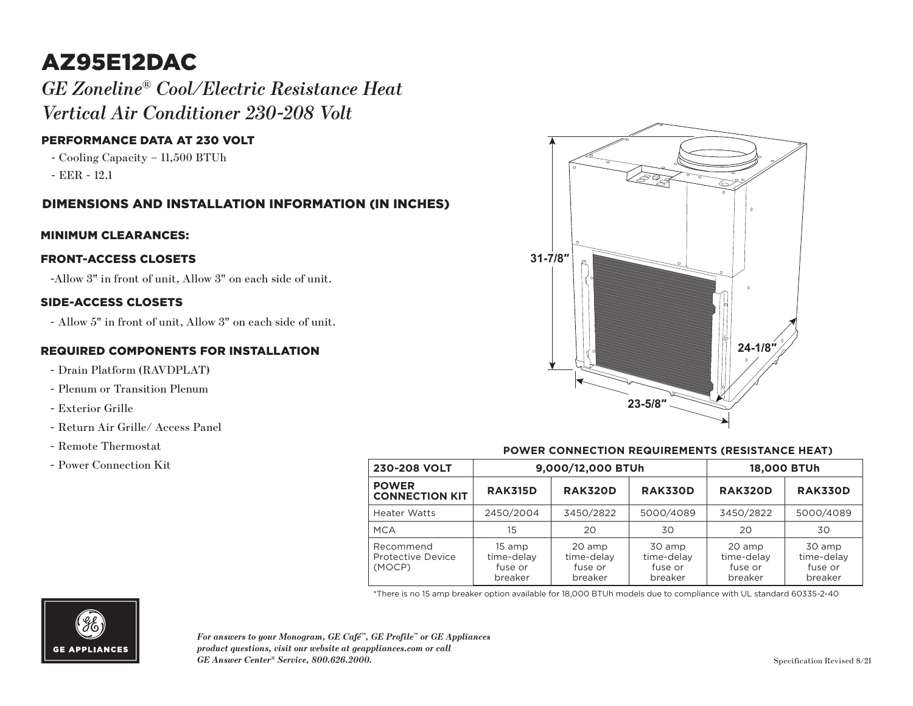# AZ95E12DAC

*GE Zoneline® Cool/Electric Resistance Heat Vertical Air Conditioner 230-208 Volt*

# PERFORMANCE DATA AT 230 VOLT

- Cooling Capacity 11,500 BTUh
- EER 12.1

# DIMENSIONS AND INSTALLATION INFORMATION (IN INCHES)

### MINIMUM CLEARANCES:

### FRONT-ACCESS CLOSETS

-Allow 3" in front of unit, Allow 3" on each side of unit.

### SIDE-ACCESS CLOSETS

- Allow 5" in front of unit, Allow 3" on each side of unit.

### REQUIRED COMPONENTS FOR INSTALLATION

- Drain Platform (RAVDPLAT)
- Plenum or Transition Plenum
- Exterior Grille
- Return Air Grille/ Access Panel
- Remote Thermostat
- Power Connection Kit



### **POWER CONNECTION REQUIREMENTS (RESISTANCE HEAT)**

| 230-208 VOLT                             | 9,000/12,000 BTUh                          |                                            |                                            | <b>18,000 BTUh</b>                         |                                            |
|------------------------------------------|--------------------------------------------|--------------------------------------------|--------------------------------------------|--------------------------------------------|--------------------------------------------|
| <b>POWER</b><br><b>CONNECTION KIT</b>    | <b>RAK315D</b>                             | <b>RAK320D</b>                             | <b>RAK330D</b>                             | <b>RAK320D</b>                             | <b>RAK330D</b>                             |
| <b>Heater Watts</b>                      | 2450/2004                                  | 3450/2822                                  | 5000/4089                                  | 3450/2822                                  | 5000/4089                                  |
| <b>MCA</b>                               | 15                                         | 20                                         | 30                                         | 20                                         | 30                                         |
| Recommend<br>Protective Device<br>(MOCP) | 15 amp<br>time-delay<br>fuse or<br>breaker | 20 amp<br>time-delay<br>fuse or<br>breaker | 30 amp<br>time-delay<br>fuse or<br>breaker | 20 amp<br>time-delay<br>fuse or<br>breaker | 30 amp<br>time-delay<br>fuse or<br>breaker |

\*There is no 15 amp breaker option available for 18,000 BTUh models due to compliance with UL standard 60335-2-40



*For answers to your Monogram, GE Café™, GE Profile™ or GE Appliances product questions, visit our website at geappliances.com or call GE Answer Center® Service, 800.626.2000.*